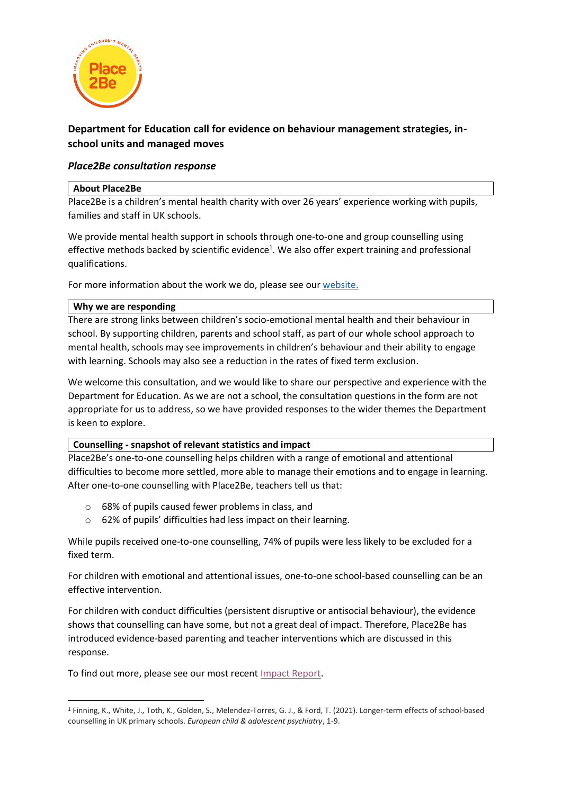

# **Department for Education call for evidence on behaviour management strategies, inschool units and managed moves**

# *Place2Be consultation response*

### **About Place2Be**

Place2Be is a children's mental health charity with over 26 years' experience working with pupils, families and staff in UK schools.

We provide mental health support in schools through one-to-one and group counselling using effective methods backed by scientific evidence<sup>1</sup>. We also offer expert training and professional qualifications.

For more information about the work we do, please see our [website.](https://www.place2be.org.uk/)

# **Why we are responding**

There are strong links between children's socio-emotional mental health and their behaviour in school. By supporting children, parents and school staff, as part of our whole school approach to mental health, schools may see improvements in children's behaviour and their ability to engage with learning. Schools may also see a reduction in the rates of fixed term exclusion.

We welcome this consultation, and we would like to share our perspective and experience with the Department for Education. As we are not a school, the consultation questions in the form are not appropriate for us to address, so we have provided responses to the wider themes the Department is keen to explore.

# **Counselling - snapshot of relevant statistics and impact**

Place2Be's one-to-one counselling helps children with a range of emotional and attentional difficulties to become more settled, more able to manage their emotions and to engage in learning. After one-to-one counselling with Place2Be, teachers tell us that:

- o 68% of pupils caused fewer problems in class, and
- o 62% of pupils' difficulties had less impact on their learning.

While pupils received one-to-one counselling, 74% of pupils were less likely to be excluded for a fixed term.

For children with emotional and attentional issues, one-to-one school-based counselling can be an effective intervention.

For children with conduct difficulties (persistent disruptive or antisocial behaviour), the evidence shows that counselling can have some, but not a great deal of impact. Therefore, Place2Be has introduced evidence-based parenting and teacher interventions which are discussed in this response.

To find out more, please see our most recent [Impact Report.](https://www.place2be.org.uk/about-us/impact-and-evidence/accounts-and-impact-report/impact-report/)

<sup>1</sup> Finning, K., White, J., Toth, K., Golden, S., Melendez-Torres, G. J., & Ford, T. (2021). Longer-term effects of school-based counselling in UK primary schools. *European child & adolescent psychiatry*, 1-9.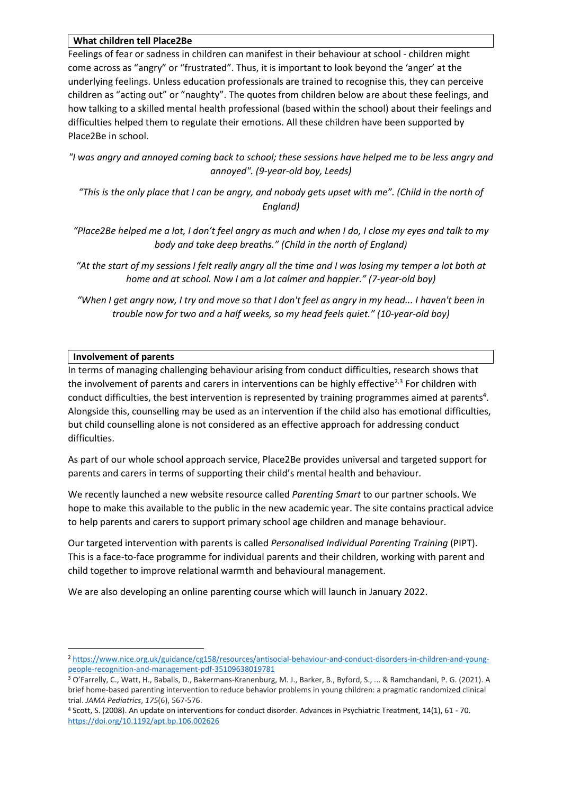#### **What children tell Place2Be**

Feelings of fear or sadness in children can manifest in their behaviour at school - children might come across as "angry" or "frustrated". Thus, it is important to look beyond the 'anger' at the underlying feelings. Unless education professionals are trained to recognise this, they can perceive children as "acting out" or "naughty". The quotes from children below are about these feelings, and how talking to a skilled mental health professional (based within the school) about their feelings and difficulties helped them to regulate their emotions. All these children have been supported by Place2Be in school.

*"I was angry and annoyed coming back to school; these sessions have helped me to be less angry and annoyed". (9-year-old boy, Leeds)*

*"This is the only place that I can be angry, and nobody gets upset with me". (Child in the north of England)*

*"Place2Be helped me a lot, I don't feel angry as much and when I do, I close my eyes and talk to my body and take deep breaths." (Child in the north of England)*

*"At the start of my sessions I felt really angry all the time and I was losing my temper a lot both at home and at school. Now I am a lot calmer and happier." (7-year-old boy)*

*"When I get angry now, I try and move so that I don't feel as angry in my head... I haven't been in trouble now for two and a half weeks, so my head feels quiet." (10-year-old boy)*

# **Involvement of parents**

In terms of managing challenging behaviour arising from conduct difficulties, research shows that the involvement of parents and carers in interventions can be highly effective<sup>2,3</sup> For children with conduct difficulties, the best intervention is represented by training programmes aimed at parents<sup>4</sup>. Alongside this, counselling may be used as an intervention if the child also has emotional difficulties, but child counselling alone is not considered as an effective approach for addressing conduct difficulties.

As part of our whole school approach service, Place2Be provides universal and targeted support for parents and carers in terms of supporting their child's mental health and behaviour.

We recently launched a new website resource called *Parenting Smart* to our partner schools. We hope to make this available to the public in the new academic year. The site contains practical advice to help parents and carers to support primary school age children and manage behaviour.

Our targeted intervention with parents is called *Personalised Individual Parenting Training* (PIPT). This is a face-to-face programme for individual parents and their children, working with parent and child together to improve relational warmth and behavioural management.

We are also developing an online parenting course which will launch in January 2022.

<sup>2</sup> [https://www.nice.org.uk/guidance/cg158/resources/antisocial-behaviour-and-conduct-disorders-in-children-and-young](https://www.nice.org.uk/guidance/cg158/resources/antisocial-behaviour-and-conduct-disorders-in-children-and-young-people-recognition-and-management-pdf-35109638019781)[people-recognition-and-management-pdf-35109638019781](https://www.nice.org.uk/guidance/cg158/resources/antisocial-behaviour-and-conduct-disorders-in-children-and-young-people-recognition-and-management-pdf-35109638019781)

<sup>3</sup> O'Farrelly, C., Watt, H., Babalis, D., Bakermans-Kranenburg, M. J., Barker, B., Byford, S., ... & Ramchandani, P. G. (2021). A brief home-based parenting intervention to reduce behavior problems in young children: a pragmatic randomized clinical trial. *JAMA Pediatrics*, *175*(6), 567-576.

<sup>4</sup> Scott, S. (2008). An update on interventions for conduct disorder. Advances in Psychiatric Treatment, 14(1), 61 - 70. <https://doi.org/10.1192/apt.bp.106.002626>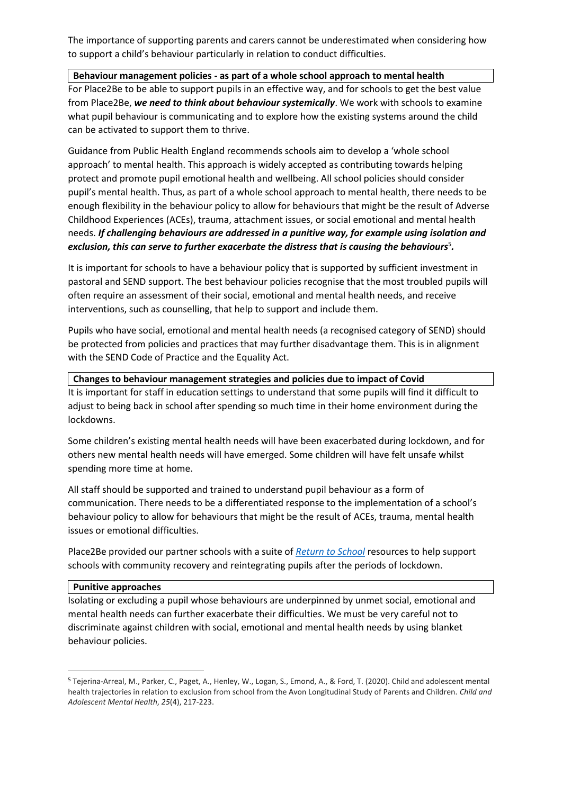The importance of supporting parents and carers cannot be underestimated when considering how to support a child's behaviour particularly in relation to conduct difficulties.

# **Behaviour management policies - as part of a whole school approach to mental health**

For Place2Be to be able to support pupils in an effective way, and for schools to get the best value from Place2Be, *we need to think about behaviour systemically*. We work with schools to examine what pupil behaviour is communicating and to explore how the existing systems around the child can be activated to support them to thrive.

Guidance from Public Health England recommends schools aim to develop a 'whole school approach' to mental health. This approach is widely accepted as contributing towards helping protect and promote pupil emotional health and wellbeing. All school policies should consider pupil's mental health. Thus, as part of a whole school approach to mental health, there needs to be enough flexibility in the behaviour policy to allow for behaviours that might be the result of Adverse Childhood Experiences (ACEs), trauma, attachment issues, or social emotional and mental health needs. *If challenging behaviours are addressed in a punitive way, for example using isolation and*  exclusion, this can serve to further exacerbate the distress that is causing the behaviours<sup>5</sup>.

It is important for schools to have a behaviour policy that is supported by sufficient investment in pastoral and SEND support. The best behaviour policies recognise that the most troubled pupils will often require an assessment of their social, emotional and mental health needs, and receive interventions, such as counselling, that help to support and include them.

Pupils who have social, emotional and mental health needs (a recognised category of SEND) should be protected from policies and practices that may further disadvantage them. This is in alignment with the SEND Code of Practice and the Equality Act.

### **Changes to behaviour management strategies and policies due to impact of Covid**

It is important for staff in education settings to understand that some pupils will find it difficult to adjust to being back in school after spending so much time in their home environment during the lockdowns.

Some children's existing mental health needs will have been exacerbated during lockdown, and for others new mental health needs will have emerged. Some children will have felt unsafe whilst spending more time at home.

All staff should be supported and trained to understand pupil behaviour as a form of communication. There needs to be a differentiated response to the implementation of a school's behaviour policy to allow for behaviours that might be the result of ACEs, trauma, mental health issues or emotional difficulties.

Place2Be provided our partner schools with a suite of *[Return to School](https://www.place2be.org.uk/our-services/services-for-schools/mental-health-resources-for-schools/return-to-school-resources/)* resources to help support schools with community recovery and reintegrating pupils after the periods of lockdown.

#### **Punitive approaches**

Isolating or excluding a pupil whose behaviours are underpinned by unmet social, emotional and mental health needs can further exacerbate their difficulties. We must be very careful not to discriminate against children with social, emotional and mental health needs by using blanket behaviour policies.

<sup>5</sup> Tejerina‐Arreal, M., Parker, C., Paget, A., Henley, W., Logan, S., Emond, A., & Ford, T. (2020). Child and adolescent mental health trajectories in relation to exclusion from school from the Avon Longitudinal Study of Parents and Children. *Child and Adolescent Mental Health*, *25*(4), 217-223.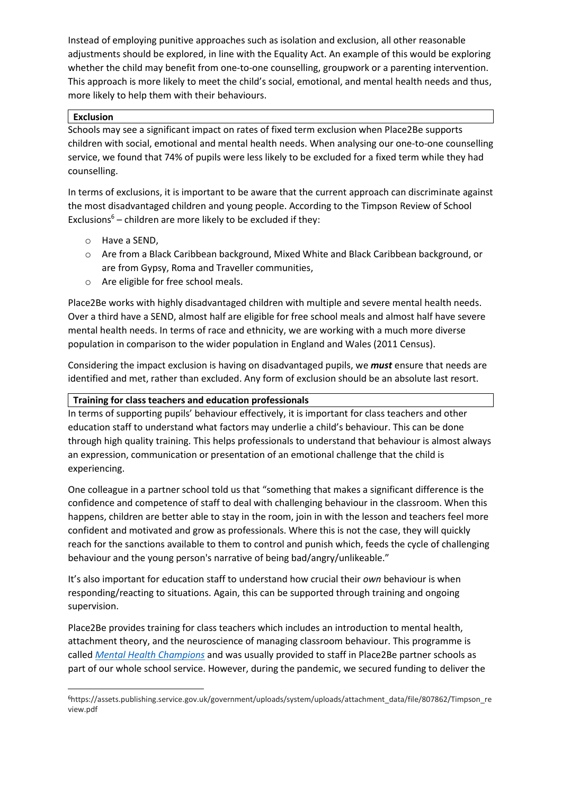Instead of employing punitive approaches such as isolation and exclusion, all other reasonable adjustments should be explored, in line with the Equality Act. An example of this would be exploring whether the child may benefit from one-to-one counselling, groupwork or a parenting intervention. This approach is more likely to meet the child's social, emotional, and mental health needs and thus, more likely to help them with their behaviours.

# **Exclusion**

Schools may see a significant impact on rates of fixed term exclusion when Place2Be supports children with social, emotional and mental health needs. When analysing our one-to-one counselling service, we found that 74% of pupils were less likely to be excluded for a fixed term while they had counselling.

In terms of exclusions, it is important to be aware that the current approach can discriminate against the most disadvantaged children and young people. According to the Timpson Review of School Exclusions $6 -$ children are more likely to be excluded if they:

- o Have a SEND,
- o Are from a Black Caribbean background, Mixed White and Black Caribbean background, or are from Gypsy, Roma and Traveller communities,
- o Are eligible for free school meals.

Place2Be works with highly disadvantaged children with multiple and severe mental health needs. Over a third have a SEND, almost half are eligible for free school meals and almost half have severe mental health needs. In terms of race and ethnicity, we are working with a much more diverse population in comparison to the wider population in England and Wales (2011 Census).

Considering the impact exclusion is having on disadvantaged pupils, we *must* ensure that needs are identified and met, rather than excluded. Any form of exclusion should be an absolute last resort.

### **Training for class teachers and education professionals**

In terms of supporting pupils' behaviour effectively, it is important for class teachers and other education staff to understand what factors may underlie a child's behaviour. This can be done through high quality training. This helps professionals to understand that behaviour is almost always an expression, communication or presentation of an emotional challenge that the child is experiencing.

One colleague in a partner school told us that "something that makes a significant difference is the confidence and competence of staff to deal with challenging behaviour in the classroom. When this happens, children are better able to stay in the room, join in with the lesson and teachers feel more confident and motivated and grow as professionals. Where this is not the case, they will quickly reach for the sanctions available to them to control and punish which, feeds the cycle of challenging behaviour and the young person's narrative of being bad/angry/unlikeable."

It's also important for education staff to understand how crucial their *own* behaviour is when responding/reacting to situations. Again, this can be supported through training and ongoing supervision.

Place2Be provides training for class teachers which includes an introduction to mental health, attachment theory, and the neuroscience of managing classroom behaviour. This programme is called *[Mental Health Champions](https://www.place2be.org.uk/foundation)* and was usually provided to staff in Place2Be partner schools as part of our whole school service. However, during the pandemic, we secured funding to deliver the

<sup>6</sup>https://assets.publishing.service.gov.uk/government/uploads/system/uploads/attachment\_data/file/807862/Timpson\_re view.pdf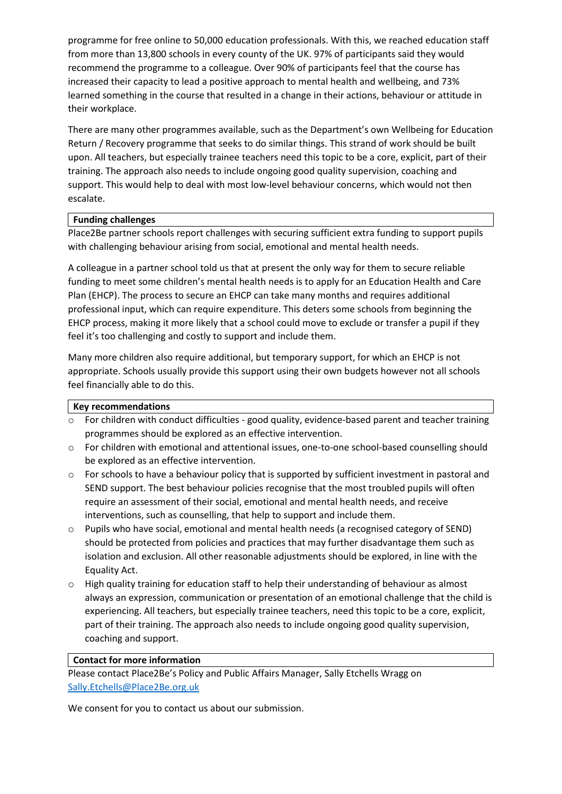programme for free online to 50,000 education professionals. With this, we reached education staff from more than 13,800 schools in every county of the UK. 97% of participants said they would recommend the programme to a colleague. Over 90% of participants feel that the course has increased their capacity to lead a positive approach to mental health and wellbeing, and 73% learned something in the course that resulted in a change in their actions, behaviour or attitude in their workplace.

There are many other programmes available, such as the Department's own Wellbeing for Education Return / Recovery programme that seeks to do similar things. This strand of work should be built upon. All teachers, but especially trainee teachers need this topic to be a core, explicit, part of their training. The approach also needs to include ongoing good quality supervision, coaching and support. This would help to deal with most low-level behaviour concerns, which would not then escalate.

# **Funding challenges**

Place2Be partner schools report challenges with securing sufficient extra funding to support pupils with challenging behaviour arising from social, emotional and mental health needs.

A colleague in a partner school told us that at present the only way for them to secure reliable funding to meet some children's mental health needs is to apply for an Education Health and Care Plan (EHCP). The process to secure an EHCP can take many months and requires additional professional input, which can require expenditure. This deters some schools from beginning the EHCP process, making it more likely that a school could move to exclude or transfer a pupil if they feel it's too challenging and costly to support and include them.

Many more children also require additional, but temporary support, for which an EHCP is not appropriate. Schools usually provide this support using their own budgets however not all schools feel financially able to do this.

#### **Key recommendations**

- $\circ$  For children with conduct difficulties good quality, evidence-based parent and teacher training programmes should be explored as an effective intervention.
- o For children with emotional and attentional issues, one-to-one school-based counselling should be explored as an effective intervention.
- o For schools to have a behaviour policy that is supported by sufficient investment in pastoral and SEND support. The best behaviour policies recognise that the most troubled pupils will often require an assessment of their social, emotional and mental health needs, and receive interventions, such as counselling, that help to support and include them.
- o Pupils who have social, emotional and mental health needs (a recognised category of SEND) should be protected from policies and practices that may further disadvantage them such as isolation and exclusion. All other reasonable adjustments should be explored, in line with the Equality Act.
- $\circ$  High quality training for education staff to help their understanding of behaviour as almost always an expression, communication or presentation of an emotional challenge that the child is experiencing. All teachers, but especially trainee teachers, need this topic to be a core, explicit, part of their training. The approach also needs to include ongoing good quality supervision, coaching and support.

#### **Contact for more information**

Please contact Place2Be's Policy and Public Affairs Manager, Sally Etchells Wragg on [Sally.Etchells@Place2Be.org.uk](mailto:Sally.Etchells@Place2Be.org.uk)

We consent for you to contact us about our submission.